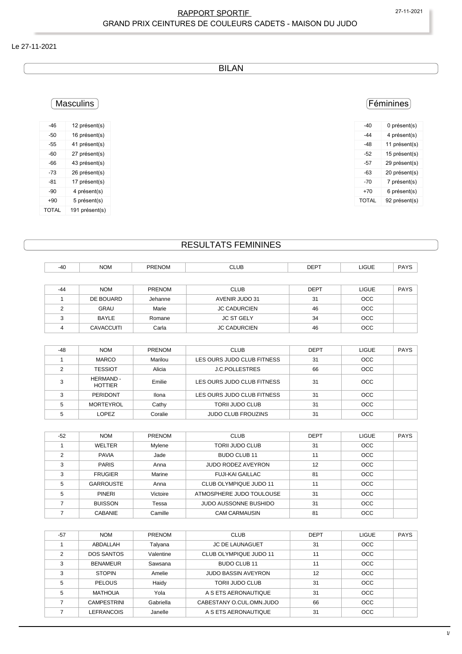#### RAPPORT SPORTIF 27-11-2021 GRAND PRIX CEINTURES DE COULEURS CADETS - MAISON DU JUDO

#### Le 27-11-2021

BILAN

## Féminines

| -40   | 0 présent(s)  |
|-------|---------------|
| -44   | 4 présent(s)  |
| -48   | 11 présent(s) |
| -52   | 15 présent(s) |
| -57   | 29 présent(s) |
| -63   | 20 présent(s) |
| -70   | 7 présent(s)  |
| +70   | 6 présent(s)  |
| TOTAL | 92 présent(s) |

## Masculins

| -46          | 12 présent(s)  |
|--------------|----------------|
| -50          | 16 présent(s)  |
| -55          | 41 présent(s)  |
| -60          | 27 présent(s)  |
| -66          | 43 présent(s)  |
| -73          | 26 présent(s)  |
| -81          | 17 présent(s)  |
| -90          | 4 présent(s)   |
| $+90$        | 5 présent(s)   |
| <b>TOTAL</b> | 191 présent(s) |

## RESULTATS FEMININES

| $-40$ | <b>NOM</b>        | <b>PRENOM</b> | <b>CLUB</b>                | <b>DEPT</b> | <b>LIGUE</b> | <b>PAYS</b> |
|-------|-------------------|---------------|----------------------------|-------------|--------------|-------------|
|       |                   |               |                            |             |              |             |
| $-44$ | <b>NOM</b>        | PRENOM        | <b>CLUB</b>                | <b>DEPT</b> | <b>LIGUE</b> | <b>PAYS</b> |
|       | DE BOUARD         | Jehanne       | AVENIR JUDO 31             | 31          | <b>OCC</b>   |             |
| 2     | <b>GRAU</b>       | Marie         | <b>JC CADURCIEN</b>        | 46          | <b>OCC</b>   |             |
| 3     | BAYLE             | Romane        | <b>JC ST GELY</b>          | 34          | <b>OCC</b>   |             |
| 4     | <b>CAVACCUITI</b> | Carla         | <b>JC CADURCIEN</b>        | 46          | <b>OCC</b>   |             |
|       |                   |               |                            |             |              |             |
| $-48$ | <b>NOM</b>        | <b>PRENOM</b> | <b>CLUB</b>                | <b>DEPT</b> | <b>LIGUE</b> | <b>PAYS</b> |
|       | <b>MARCO</b>      | Marilou       | LES OURS JUDO CLUB FITNESS | 31          | <b>OCC</b>   |             |
|       |                   |               |                            |             |              |             |

|  | MARCO                       | Marilou | LES OURS JUDO CLUB FITNESS | 31 | OCC        |  |
|--|-----------------------------|---------|----------------------------|----|------------|--|
|  | <b>TESSIOT</b>              | Alicia  | <b>J.C.POLLESTRES</b>      | 66 | <b>OCC</b> |  |
|  | HERMAND -<br><b>HOTTIER</b> | Emilie  | LES OURS JUDO CLUB FITNESS | 31 | <b>OCC</b> |  |
|  | PERIDONT                    | Ilona   | LES OURS JUDO CLUB FITNESS | 31 | <b>OCC</b> |  |
|  | <b>MORTEYROL</b>            | Cathy   | <b>TORII JUDO CLUB</b>     | 31 | <b>OCC</b> |  |
|  | LOPEZ                       | Coralie | <b>JUDO CLUB FROUZINS</b>  | 31 | <b>OCC</b> |  |

| $-52$ | <b>NOM</b>       | <b>PRENOM</b> | <b>CLUB</b>               | <b>DEPT</b> | <b>LIGUE</b> | <b>PAYS</b> |
|-------|------------------|---------------|---------------------------|-------------|--------------|-------------|
|       | <b>WELTER</b>    | Mylene        | <b>TORII JUDO CLUB</b>    | 31          | <b>OCC</b>   |             |
| C     | <b>PAVIA</b>     | Jade          | BUDO CLUB 11              | 11          | <b>OCC</b>   |             |
| 3     | <b>PARIS</b>     | Anna          | <b>JUDO RODEZ AVEYRON</b> | 12          | <b>OCC</b>   |             |
| っ     | <b>FRUGIER</b>   | Marine        | <b>FUJI-KAI GAILLAC</b>   | 81          | <b>OCC</b>   |             |
| 5     | <b>GARROUSTE</b> | Anna          | CLUB OLYMPIQUE JUDO 11    | 11          | <b>OCC</b>   |             |
| 5     | <b>PINERI</b>    | Victoire      | ATMOSPHERE JUDO TOULOUSE  | 31          | <b>OCC</b>   |             |
|       | <b>BUISSON</b>   | Tessa         | JUDO AUSSONNE BUSHIDO     | 31          | <b>OCC</b>   |             |
|       | <b>CABANIE</b>   | Camille       | <b>CAM CARMAUSIN</b>      | 81          | <b>OCC</b>   |             |

| $-57$ | <b>NOM</b>         | <b>PRENOM</b> | <b>CLUB</b>                | <b>DEPT</b> | LIGUE      | <b>PAYS</b> |
|-------|--------------------|---------------|----------------------------|-------------|------------|-------------|
|       | ABDALLAH           | Talyana       | <b>JC DE LAUNAGUET</b>     | 31          | <b>OCC</b> |             |
| 2     | DOS SANTOS         | Valentine     | CLUB OLYMPIQUE JUDO 11     | 11          | <b>OCC</b> |             |
| 3     | <b>BENAMEUR</b>    | Sawsana       | BUDO CLUB 11               | 11          | <b>OCC</b> |             |
| 3     | <b>STOPIN</b>      | Amelie        | <b>JUDO BASSIN AVEYRON</b> | 12          | <b>OCC</b> |             |
| 5     | <b>PELOUS</b>      | Haidv         | <b>TORIL JUDO CLUB</b>     | 31          | <b>OCC</b> |             |
| 5     | <b>MATHOUA</b>     | Yola          | A S ETS AERONAUTIQUE       | 31          | <b>OCC</b> |             |
|       | <b>CAMPESTRINI</b> | Gabriella     | CABESTANY O.CUL.OMN.JUDO   | 66          | <b>OCC</b> |             |
|       | LEFRANCOIS         | Janelle       | A S ETS AERONAUTIQUE       | 31          | <b>OCC</b> |             |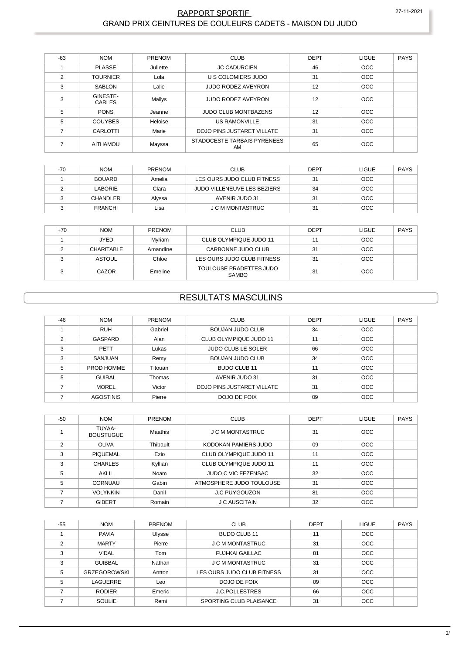#### RAPPORT SPORTIF GRAND PRIX CEINTURES DE COULEURS CADETS - MAISON DU JUDO

| $-63$          | <b>NOM</b>         | PRENOM   | <b>CLUB</b>                       | <b>DEPT</b> | <b>LIGUE</b> | <b>PAYS</b> |
|----------------|--------------------|----------|-----------------------------------|-------------|--------------|-------------|
|                | <b>PLASSE</b>      | Juliette | <b>JC CADURCIEN</b>               | 46          | <b>OCC</b>   |             |
| $\overline{2}$ | <b>TOURNIER</b>    | Lola     | U S COLOMIERS JUDO                | 31          | <b>OCC</b>   |             |
| 3              | <b>SABLON</b>      | Lalie    | <b>JUDO RODEZ AVEYRON</b>         | 12          | <b>OCC</b>   |             |
| 3              | GINESTE-<br>CARLES | Mailys   | <b>JUDO RODEZ AVEYRON</b>         | 12          | <b>OCC</b>   |             |
| 5              | <b>PONS</b>        | Jeanne   | <b>JUDO CLUB MONTBAZENS</b>       | 12          | <b>OCC</b>   |             |
| 5              | <b>COUYBES</b>     | Heloise  | <b>US RAMONVILLE</b>              | 31          | <b>OCC</b>   |             |
|                | CARLOTTI           | Marie    | DOJO PINS JUSTARET VILLATE        | 31          | <b>OCC</b>   |             |
|                | AITHAMOU           | Mayssa   | STADOCESTE TARBAIS PYRENEES<br>AM | 65          | <b>OCC</b>   |             |

| $-70$ | <b>NOM</b>      | <b>PRENOM</b> | <b>CLUB</b>                        | DEPT | LIGUE      | <b>PAYS</b> |
|-------|-----------------|---------------|------------------------------------|------|------------|-------------|
|       | <b>BOUARD</b>   | Amelia        | LES OURS JUDO CLUB FITNESS         | 31   | <b>OCC</b> |             |
|       | <b>LABORIE</b>  | Clara         | <b>JUDO VILLENEUVE LES BEZIERS</b> | 34   | <b>OCC</b> |             |
|       | <b>CHANDLER</b> | Alyssa        | AVENIR JUDO 31                     | 31   | <b>OCC</b> |             |
|       | <b>FRANCHI</b>  | Lisa          | <b>J C M MONTASTRUC</b>            | 31   | <b>OCC</b> |             |

| $+70$ | <b>NOM</b>        | <b>PRENOM</b> | <b>CLUB</b>                             | <b>DEPT</b> | <b>LIGUE</b> | PAYS |
|-------|-------------------|---------------|-----------------------------------------|-------------|--------------|------|
|       | <b>JYED</b>       | Mvriam        | CLUB OLYMPIQUE JUDO 11                  | 11          | <b>OCC</b>   |      |
|       | <b>CHARITABLE</b> | Amandine      | CARBONNE JUDO CLUB                      | 31          | <b>OCC</b>   |      |
|       | <b>ASTOUL</b>     | Chloe         | LES OURS JUDO CLUB FITNESS              | 31          | <b>OCC</b>   |      |
|       | CAZOR             | Emeline       | TOULOUSE PRADETTES JUDO<br><b>SAMBO</b> | 31          | <b>OCC</b>   |      |

## **RESULTATS MASCULINS**

| $-46$ | <b>NOM</b>       | <b>PRENOM</b> | <b>CLUB</b>                | <b>DEPT</b> | <b>LIGUE</b> | PAYS |
|-------|------------------|---------------|----------------------------|-------------|--------------|------|
|       | <b>RUH</b>       | Gabriel       | <b>BOUJAN JUDO CLUB</b>    | 34          | OCC          |      |
| C     | GASPARD          | Alan          | CLUB OLYMPIQUE JUDO 11     | 11          | OCC          |      |
| 3     | <b>PETT</b>      | Lukas         | <b>JUDO CLUB LE SOLER</b>  | 66          | OCC          |      |
| 3     | SANJUAN          | Remy          | <b>BOUJAN JUDO CLUB</b>    | 34          | OCC          |      |
| 5     | PROD HOMME       | Titouan       | <b>BUDO CLUB 11</b>        | 11          | OCC          |      |
| 5     | <b>GUIRAL</b>    | Thomas        | AVENIR JUDO 31             | 31          | OCC          |      |
|       | <b>MOREL</b>     | Victor        | DOJO PINS JUSTARET VILLATE | 31          | OCC          |      |
|       | <b>AGOSTINIS</b> | Pierre        | DOJO DE FOIX               | 09          | <b>OCC</b>   |      |

| -50           | <b>NOM</b>                 | <b>PRENOM</b> | <b>CLUB</b>              | <b>DEPT</b> | LIGUE      | <b>PAYS</b> |
|---------------|----------------------------|---------------|--------------------------|-------------|------------|-------------|
|               | TUYAA-<br><b>BOUSTUGUE</b> | Maathis       | J C M MONTASTRUC         | 31          | <b>OCC</b> |             |
| $\mathcal{P}$ | <b>OLIVA</b>               | Thibault      | KODOKAN PAMIERS JUDO     | 09          | OCC        |             |
| 3             | <b>PIQUEMAL</b>            | Ezio          | CLUB OLYMPIQUE JUDO 11   | 11          | <b>OCC</b> |             |
| 3             | <b>CHARLES</b>             | Kyllian       | CLUB OLYMPIQUE JUDO 11   | 11          | <b>OCC</b> |             |
| 5             | AKLIL                      | Noam          | JUDO C VIC FEZENSAC      | 32          | OCC        |             |
| 5             | CORNUAU                    | Gabin         | ATMOSPHERE JUDO TOULOUSE | 31          | <b>OCC</b> |             |
|               | <b>VOLYNKIN</b>            | Danil         | <b>J.C PUYGOUZON</b>     | 81          | <b>OCC</b> |             |
|               | <b>GIBERT</b>              | Romain        | J C AUSCITAIN            | 32          | <b>OCC</b> |             |

| -55           | <b>NOM</b>          | <b>PRENOM</b> | <b>CLUB</b>                | <b>DEPT</b> | <b>LIGUE</b> | <b>PAYS</b> |
|---------------|---------------------|---------------|----------------------------|-------------|--------------|-------------|
|               | <b>PAVIA</b>        | Ulysse        | BUDO CLUB 11               | 11          | <b>OCC</b>   |             |
| $\mathcal{P}$ | <b>MARTY</b>        | Pierre        | J C M MONTASTRUC           | 31          | <b>OCC</b>   |             |
| 3             | <b>VIDAL</b>        | Tom           | <b>FUJI-KAI GAILLAC</b>    | 81          | <b>OCC</b>   |             |
| 3             | <b>GUIBBAL</b>      | Nathan        | J C M MONTASTRUC           | 31          | <b>OCC</b>   |             |
| 5             | <b>GRZEGOROWSKI</b> | Antton        | LES OURS JUDO CLUB FITNESS | 31          | <b>OCC</b>   |             |
| 5             | LAGUERRE            | Leo           | DOJO DE FOIX               | 09          | <b>OCC</b>   |             |
|               | <b>RODIER</b>       | Emeric        | <b>J.C.POLLESTRES</b>      | 66          | <b>OCC</b>   |             |
|               | <b>SOULIE</b>       | Remi          | SPORTING CLUB PLAISANCE    | 31          | <b>OCC</b>   |             |